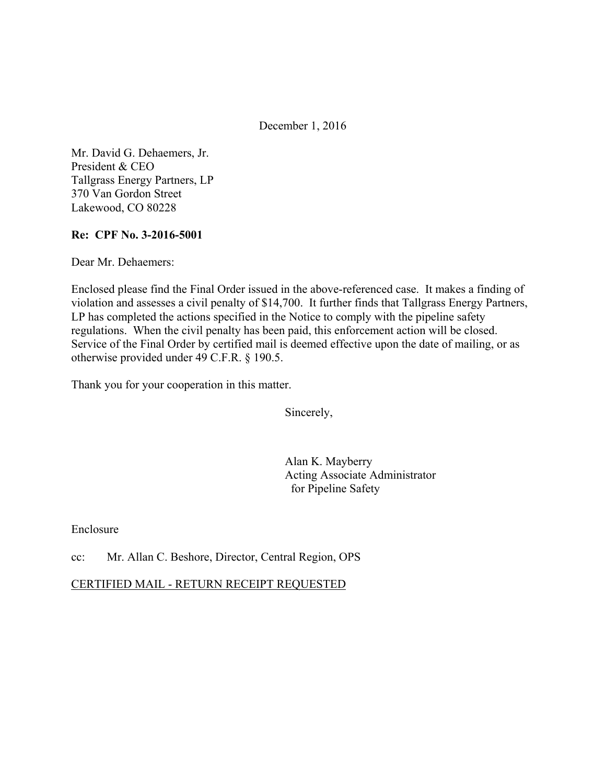December 1, 2016

Mr. David G. Dehaemers, Jr. President & CEO Tallgrass Energy Partners, LP 370 Van Gordon Street Lakewood, CO 80228

## **Re: CPF No. 3-2016-5001**

Dear Mr. Dehaemers:

Enclosed please find the Final Order issued in the above-referenced case. It makes a finding of violation and assesses a civil penalty of \$14,700. It further finds that Tallgrass Energy Partners, LP has completed the actions specified in the Notice to comply with the pipeline safety regulations. When the civil penalty has been paid, this enforcement action will be closed. Service of the Final Order by certified mail is deemed effective upon the date of mailing, or as otherwise provided under 49 C.F.R. § 190.5.

Thank you for your cooperation in this matter.

Sincerely,

Alan K. Mayberry Acting Associate Administrator for Pipeline Safety

Enclosure

### cc: Mr. Allan C. Beshore, Director, Central Region, OPS

### CERTIFIED MAIL - RETURN RECEIPT REQUESTED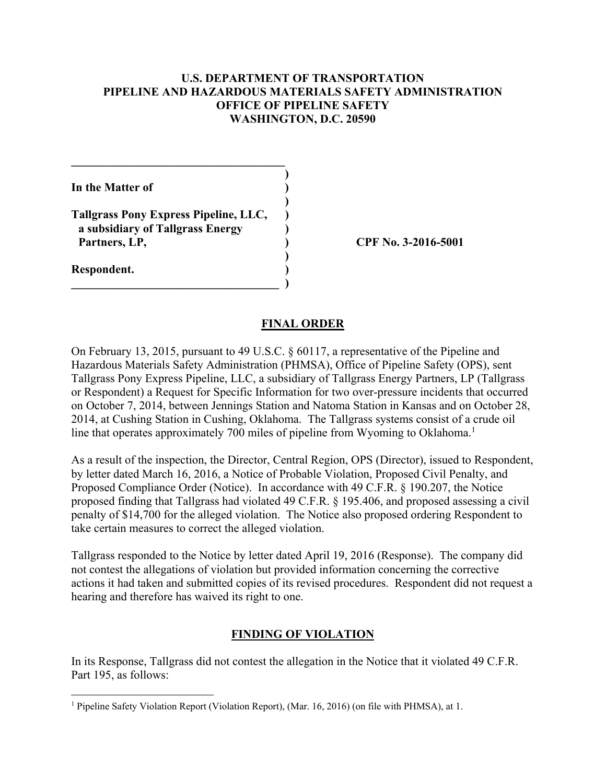## **U.S. DEPARTMENT OF TRANSPORTATION PIPELINE AND HAZARDOUS MATERIALS SAFETY ADMINISTRATION OFFICE OF PIPELINE SAFETY WASHINGTON, D.C. 20590**

| In the Matter of                                                                           |  |
|--------------------------------------------------------------------------------------------|--|
| Tallgrass Pony Express Pipeline, LLC,<br>a subsidiary of Tallgrass Energy<br>Partners, LP, |  |
| Respondent.                                                                                |  |

 $\mathcal{L}=\{1,2,3,4,5\}$ 

**CPF No. 3-2016-5001** 

#### **FINAL ORDER**

On February 13, 2015, pursuant to 49 U.S.C. § 60117, a representative of the Pipeline and Hazardous Materials Safety Administration (PHMSA), Office of Pipeline Safety (OPS), sent Tallgrass Pony Express Pipeline, LLC, a subsidiary of Tallgrass Energy Partners, LP (Tallgrass or Respondent) a Request for Specific Information for two over-pressure incidents that occurred on October 7, 2014, between Jennings Station and Natoma Station in Kansas and on October 28, 2014, at Cushing Station in Cushing, Oklahoma. The Tallgrass systems consist of a crude oil line that operates approximately 700 miles of pipeline from Wyoming to Oklahoma.<sup>1</sup>

As a result of the inspection, the Director, Central Region, OPS (Director), issued to Respondent, by letter dated March 16, 2016, a Notice of Probable Violation, Proposed Civil Penalty, and Proposed Compliance Order (Notice). In accordance with 49 C.F.R. § 190.207, the Notice proposed finding that Tallgrass had violated 49 C.F.R. § 195.406, and proposed assessing a civil penalty of \$14,700 for the alleged violation. The Notice also proposed ordering Respondent to take certain measures to correct the alleged violation.

Tallgrass responded to the Notice by letter dated April 19, 2016 (Response). The company did not contest the allegations of violation but provided information concerning the corrective actions it had taken and submitted copies of its revised procedures. Respondent did not request a hearing and therefore has waived its right to one.

# **FINDING OF VIOLATION**

In its Response, Tallgrass did not contest the allegation in the Notice that it violated 49 C.F.R. Part 195, as follows:

 $\overline{a}$ 

<sup>&</sup>lt;sup>1</sup> Pipeline Safety Violation Report (Violation Report), (Mar. 16, 2016) (on file with PHMSA), at 1.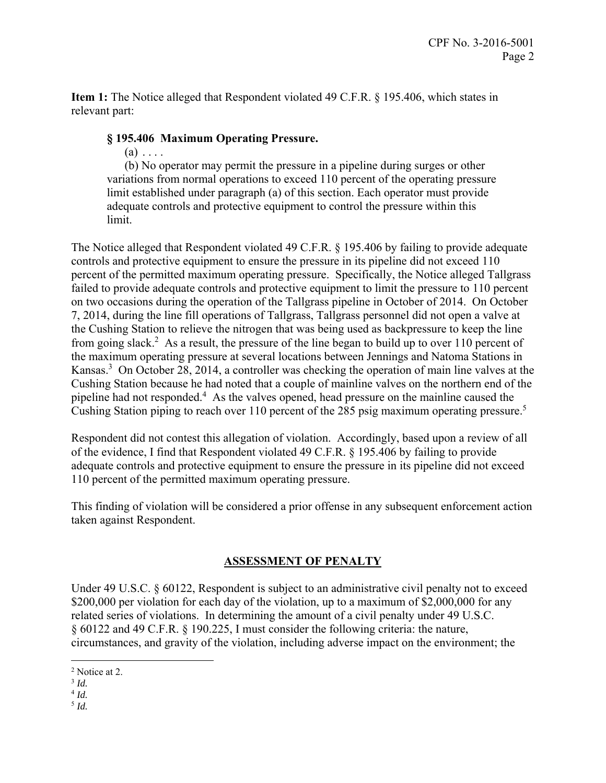**Item 1:** The Notice alleged that Respondent violated 49 C.F.R. § 195.406, which states in relevant part:

## **§ 195.406 Maximum Operating Pressure.**

 $(a) \ldots$ .

(b) No operator may permit the pressure in a pipeline during surges or other variations from normal operations to exceed 110 percent of the operating pressure limit established under paragraph (a) of this section. Each operator must provide adequate controls and protective equipment to control the pressure within this limit.

The Notice alleged that Respondent violated 49 C.F.R. § 195.406 by failing to provide adequate controls and protective equipment to ensure the pressure in its pipeline did not exceed 110 percent of the permitted maximum operating pressure. Specifically, the Notice alleged Tallgrass failed to provide adequate controls and protective equipment to limit the pressure to 110 percent on two occasions during the operation of the Tallgrass pipeline in October of 2014. On October 7, 2014, during the line fill operations of Tallgrass, Tallgrass personnel did not open a valve at the Cushing Station to relieve the nitrogen that was being used as backpressure to keep the line from going slack.<sup>2</sup> As a result, the pressure of the line began to build up to over 110 percent of the maximum operating pressure at several locations between Jennings and Natoma Stations in Kansas.<sup>3</sup> On October 28, 2014, a controller was checking the operation of main line valves at the Cushing Station because he had noted that a couple of mainline valves on the northern end of the pipeline had not responded.<sup>4</sup> As the valves opened, head pressure on the mainline caused the Cushing Station piping to reach over 110 percent of the 285 psig maximum operating pressure.<sup>5</sup>

Respondent did not contest this allegation of violation. Accordingly, based upon a review of all of the evidence, I find that Respondent violated 49 C.F.R. § 195.406 by failing to provide adequate controls and protective equipment to ensure the pressure in its pipeline did not exceed 110 percent of the permitted maximum operating pressure.

This finding of violation will be considered a prior offense in any subsequent enforcement action taken against Respondent.

# **ASSESSMENT OF PENALTY**

Under 49 U.S.C. § 60122, Respondent is subject to an administrative civil penalty not to exceed \$200,000 per violation for each day of the violation, up to a maximum of \$2,000,000 for any related series of violations. In determining the amount of a civil penalty under 49 U.S.C. § 60122 and 49 C.F.R. § 190.225, I must consider the following criteria: the nature, circumstances, and gravity of the violation, including adverse impact on the environment; the

 $\overline{a}$ 

 $^5$  *Id.* 

<sup>&</sup>lt;sup>2</sup> Notice at 2.

 $3$  *Id.* 

<sup>4</sup> *Id.*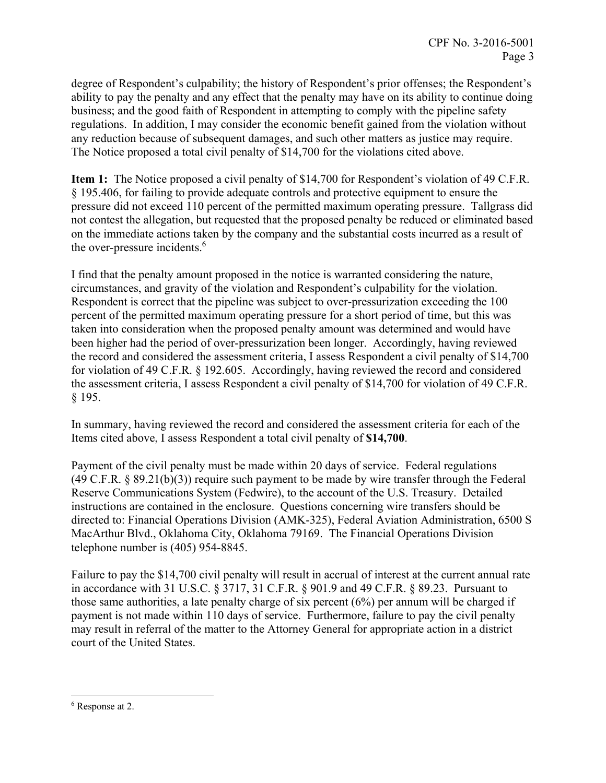degree of Respondent's culpability; the history of Respondent's prior offenses; the Respondent's ability to pay the penalty and any effect that the penalty may have on its ability to continue doing business; and the good faith of Respondent in attempting to comply with the pipeline safety regulations. In addition, I may consider the economic benefit gained from the violation without any reduction because of subsequent damages, and such other matters as justice may require. The Notice proposed a total civil penalty of \$14,700 for the violations cited above.

**Item 1:** The Notice proposed a civil penalty of \$14,700 for Respondent's violation of 49 C.F.R. § 195.406, for failing to provide adequate controls and protective equipment to ensure the pressure did not exceed 110 percent of the permitted maximum operating pressure. Tallgrass did not contest the allegation, but requested that the proposed penalty be reduced or eliminated based on the immediate actions taken by the company and the substantial costs incurred as a result of the over-pressure incidents.<sup>6</sup>

I find that the penalty amount proposed in the notice is warranted considering the nature, circumstances, and gravity of the violation and Respondent's culpability for the violation. Respondent is correct that the pipeline was subject to over-pressurization exceeding the 100 percent of the permitted maximum operating pressure for a short period of time, but this was taken into consideration when the proposed penalty amount was determined and would have been higher had the period of over-pressurization been longer. Accordingly, having reviewed the record and considered the assessment criteria, I assess Respondent a civil penalty of \$14,700 for violation of 49 C.F.R. § 192.605. Accordingly, having reviewed the record and considered the assessment criteria, I assess Respondent a civil penalty of \$14,700 for violation of 49 C.F.R. § 195.

In summary, having reviewed the record and considered the assessment criteria for each of the Items cited above, I assess Respondent a total civil penalty of **\$14,700**.

Payment of the civil penalty must be made within 20 days of service. Federal regulations (49 C.F.R. § 89.21(b)(3)) require such payment to be made by wire transfer through the Federal Reserve Communications System (Fedwire), to the account of the U.S. Treasury. Detailed instructions are contained in the enclosure. Questions concerning wire transfers should be directed to: Financial Operations Division (AMK-325), Federal Aviation Administration, 6500 S MacArthur Blvd., Oklahoma City, Oklahoma 79169. The Financial Operations Division telephone number is (405) 954-8845.

Failure to pay the \$14,700 civil penalty will result in accrual of interest at the current annual rate in accordance with 31 U.S.C. § 3717, 31 C.F.R. § 901.9 and 49 C.F.R. § 89.23. Pursuant to those same authorities, a late penalty charge of six percent (6%) per annum will be charged if payment is not made within 110 days of service. Furthermore, failure to pay the civil penalty may result in referral of the matter to the Attorney General for appropriate action in a district court of the United States.

 $\overline{a}$ 

<sup>&</sup>lt;sup>6</sup> Response at 2.